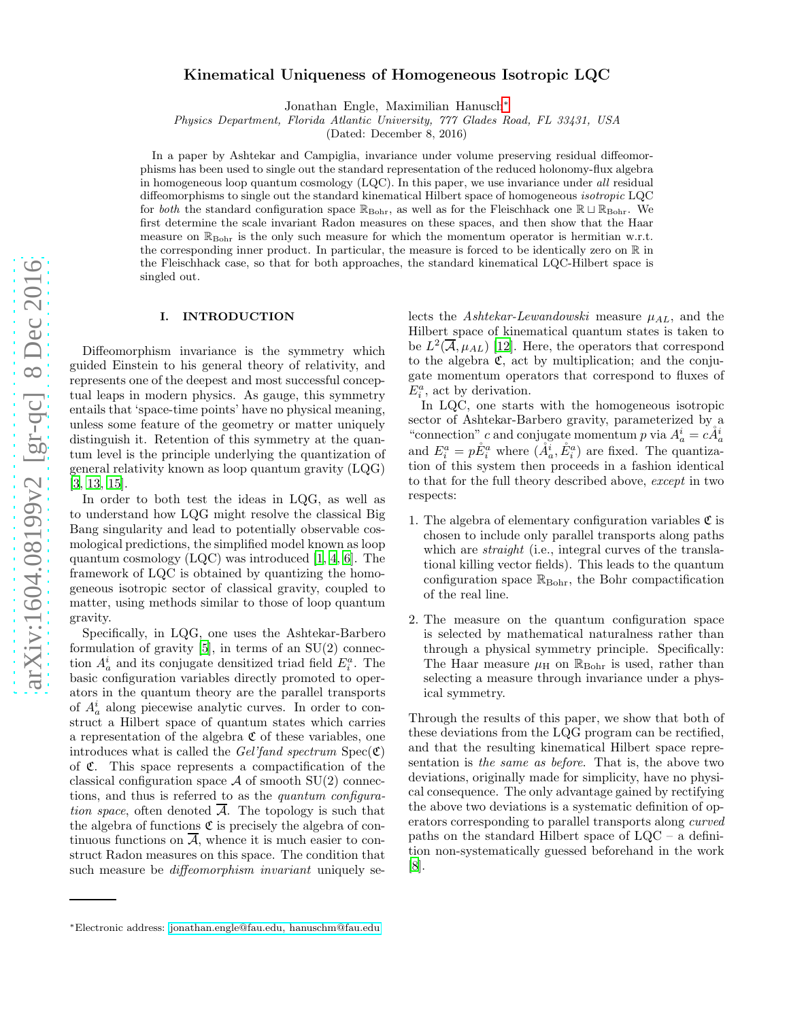# Kinematical Uniqueness of Homogeneous Isotropic LQC

Jonathan Engle, Maximilian Hanusch<sup>\*</sup>

Physics Department, Florida Atlantic University, 777 Glades Road, FL 33431, USA

(Dated: December 8, 2016)

In a paper by Ashtekar and Campiglia, invariance under volume preserving residual diffeomorphisms has been used to single out the standard representation of the reduced holonomy-flux algebra in homogeneous loop quantum cosmology (LQC). In this paper, we use invariance under all residual diffeomorphisms to single out the standard kinematical Hilbert space of homogeneous isotropic LQC for *both* the standard configuration space  $\mathbb{R}_{\text{Bohr}}$ , as well as for the Fleischhack one  $\mathbb{R} \sqcup \mathbb{R}_{\text{Bohr}}$ . We first determine the scale invariant Radon measures on these spaces, and then show that the Haar measure on  $\mathbb{R}_{\text{Bohr}}$  is the only such measure for which the momentum operator is hermitian w.r.t. the corresponding inner product. In particular, the measure is forced to be identically zero on R in the Fleischhack case, so that for both approaches, the standard kinematical LQC-Hilbert space is singled out.

## I. INTRODUCTION

Diffeomorphism invariance is the symmetry which guided Einstein to his general theory of relativity, and represents one of the deepest and most successful conceptual leaps in modern physics. As gauge, this symmetry entails that 'space-time points' have no physical meaning, unless some feature of the geometry or matter uniquely distinguish it. Retention of this symmetry at the quantum level is the principle underlying the quantization of general relativity known as loop quantum gravity (LQG) [\[3,](#page-5-0) [13,](#page-6-0) [15\]](#page-6-1).

In order to both test the ideas in LQG, as well as to understand how LQG might resolve the classical Big Bang singularity and lead to potentially observable cosmological predictions, the simplified model known as loop quantum cosmology (LQC) was introduced [\[1,](#page-5-1) [4](#page-5-2), [6](#page-5-3)]. The framework of LQC is obtained by quantizing the homogeneous isotropic sector of classical gravity, coupled to matter, using methods similar to those of loop quantum gravity.

Specifically, in LQG, one uses the Ashtekar-Barbero formulation of gravity [\[5\]](#page-5-4), in terms of an SU(2) connection  $A_a^i$  and its conjugate densitized triad field  $E_i^a$ . The basic configuration variables directly promoted to operators in the quantum theory are the parallel transports of  $A_a^i$  along piecewise analytic curves. In order to construct a Hilbert space of quantum states which carries a representation of the algebra  $\mathfrak C$  of these variables, one introduces what is called the Gel'fand spectrum  $Spec(\mathfrak{C})$ of C. This space represents a compactification of the classical configuration space  $\mathcal A$  of smooth  $SU(2)$  connections, and thus is referred to as the quantum configuration space, often denoted  $\overline{A}$ . The topology is such that the algebra of functions  $\mathfrak C$  is precisely the algebra of continuous functions on  $\overline{A}$ , whence it is much easier to construct Radon measures on this space. The condition that such measure be *diffeomorphism invariant* uniquely se-

<span id="page-0-0"></span><sup>∗</sup>Electronic address: [jonathan.engle@fau.edu, hanuschm@fau.edu](mailto:jonathan.engle@fau.edu, hanuschm@fau.edu)

lects the *Ashtekar-Lewandowski* measure  $\mu_{AL}$ , and the Hilbert space of kinematical quantum states is taken to be  $L^2(\overline{\mathcal{A}}, \mu_{AL})$  [\[12\]](#page-6-2). Here, the operators that correspond to the algebra  $\mathfrak{C}$ , act by multiplication; and the conjugate momentum operators that correspond to fluxes of  $E_i^a$ , act by derivation.

In LQC, one starts with the homogeneous isotropic sector of Ashtekar-Barbero gravity, parameterized by a "connection" c and conjugate momentum p via  $A_a^i = c \AA_a^i$ and  $E_i^a = p \r E_i^a$  where  $(\r A_a^i, \r E_i^a)$  are fixed. The quantization of this system then proceeds in a fashion identical to that for the full theory described above, except in two respects:

- 1. The algebra of elementary configuration variables  ${\mathfrak C}$  is chosen to include only parallel transports along paths which are *straight* (i.e., integral curves of the translational killing vector fields). This leads to the quantum configuration space  $\mathbb{R}_{\text{Bohr}}$ , the Bohr compactification of the real line.
- 2. The measure on the quantum configuration space is selected by mathematical naturalness rather than through a physical symmetry principle. Specifically: The Haar measure  $\mu$ <sub>H</sub> on  $\mathbb{R}_{\text{Bohr}}$  is used, rather than selecting a measure through invariance under a physical symmetry.

Through the results of this paper, we show that both of these deviations from the LQG program can be rectified, and that the resulting kinematical Hilbert space representation is the same as before. That is, the above two deviations, originally made for simplicity, have no physical consequence. The only advantage gained by rectifying the above two deviations is a systematic definition of operators corresponding to parallel transports along curved paths on the standard Hilbert space of LQC – a definition non-systematically guessed beforehand in the work  $|8|$ .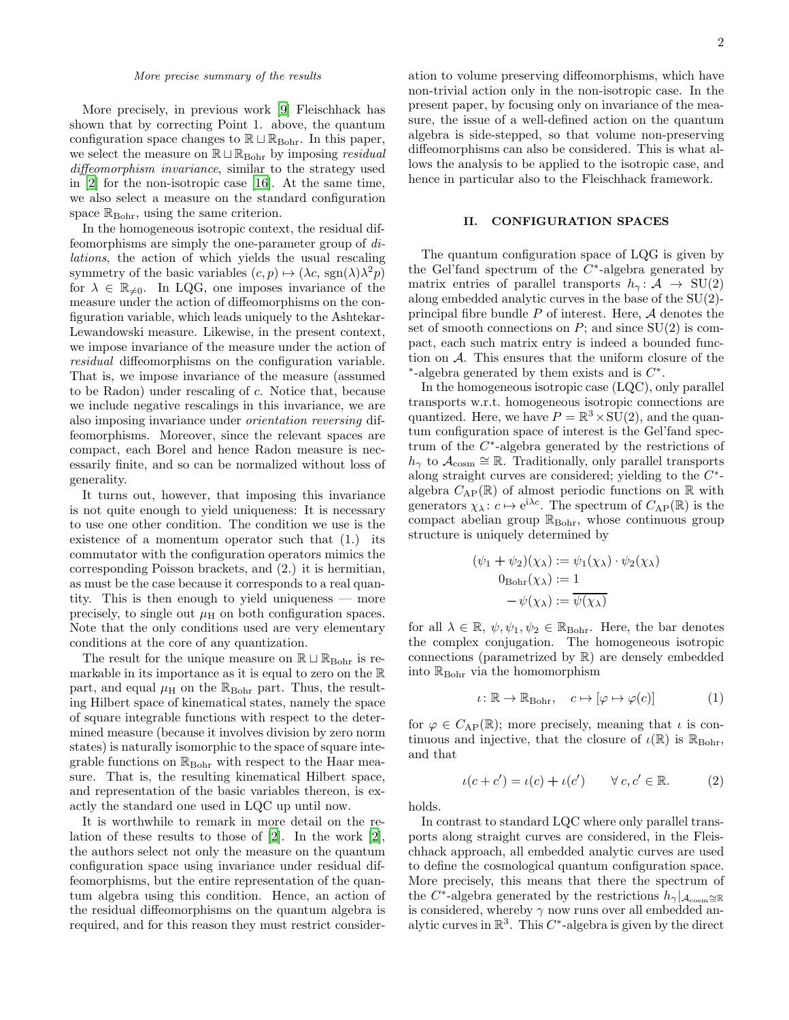More precisely, in previous work [\[9\]](#page-5-6) Fleischhack has shown that by correcting Point 1. above, the quantum configuration space changes to  $\mathbb{R} \sqcup \mathbb{R}_{Bohr}$ . In this paper, we select the measure on  $\mathbb{R} \sqcup \mathbb{R}_{\text{Bohr}}$  by imposing *residual* diffeomorphism invariance, similar to the strategy used in [\[2\]](#page-5-7) for the non-isotropic case [\[16\]](#page-6-3). At the same time, we also select a measure on the standard configuration space  $\mathbb{R}_{\text{Bohr}}$ , using the same criterion.

In the homogeneous isotropic context, the residual diffeomorphisms are simply the one-parameter group of dilations, the action of which yields the usual rescaling symmetry of the basic variables  $(c, p) \mapsto (\lambda c, \text{sgn}(\lambda)\lambda^2 p)$ for  $\lambda \in \mathbb{R}_{\neq 0}$ . In LQG, one imposes invariance of the measure under the action of diffeomorphisms on the configuration variable, which leads uniquely to the Ashtekar-Lewandowski measure. Likewise, in the present context, we impose invariance of the measure under the action of residual diffeomorphisms on the configuration variable. That is, we impose invariance of the measure (assumed to be Radon) under rescaling of c. Notice that, because we include negative rescalings in this invariance, we are also imposing invariance under orientation reversing diffeomorphisms. Moreover, since the relevant spaces are compact, each Borel and hence Radon measure is necessarily finite, and so can be normalized without loss of generality.

It turns out, however, that imposing this invariance is not quite enough to yield uniqueness: It is necessary to use one other condition. The condition we use is the existence of a momentum operator such that (1.) its commutator with the configuration operators mimics the corresponding Poisson brackets, and (2.) it is hermitian, as must be the case because it corresponds to a real quantity. This is then enough to yield uniqueness — more precisely, to single out  $\mu$ <sub>H</sub> on both configuration spaces. Note that the only conditions used are very elementary conditions at the core of any quantization.

The result for the unique measure on  $\mathbb{R} \sqcup \mathbb{R}_{Bohr}$  is remarkable in its importance as it is equal to zero on the R part, and equal  $\mu$ <sub>H</sub> on the  $\mathbb{R}_{\text{Bohr}}$  part. Thus, the resulting Hilbert space of kinematical states, namely the space of square integrable functions with respect to the determined measure (because it involves division by zero norm states) is naturally isomorphic to the space of square integrable functions on  $\mathbb{R}_{\text{Bohr}}$  with respect to the Haar measure. That is, the resulting kinematical Hilbert space, and representation of the basic variables thereon, is exactly the standard one used in LQC up until now.

It is worthwhile to remark in more detail on the relation of these results to those of [\[2\]](#page-5-7). In the work [\[2\]](#page-5-7), the authors select not only the measure on the quantum configuration space using invariance under residual diffeomorphisms, but the entire representation of the quantum algebra using this condition. Hence, an action of the residual diffeomorphisms on the quantum algebra is required, and for this reason they must restrict consideration to volume preserving diffeomorphisms, which have non-trivial action only in the non-isotropic case. In the present paper, by focusing only on invariance of the measure, the issue of a well-defined action on the quantum algebra is side-stepped, so that volume non-preserving diffeomorphisms can also be considered. This is what allows the analysis to be applied to the isotropic case, and hence in particular also to the Fleischhack framework.

## <span id="page-1-2"></span>II. CONFIGURATION SPACES

The quantum configuration space of LQG is given by the Gel'fand spectrum of the  $C^*$ -algebra generated by matrix entries of parallel transports  $h_{\gamma} : A \rightarrow SU(2)$ along embedded analytic curves in the base of the SU(2) principal fibre bundle  $P$  of interest. Here,  $\mathcal A$  denotes the set of smooth connections on  $P$ ; and since  $SU(2)$  is compact, each such matrix entry is indeed a bounded function on A. This ensures that the uniform closure of the \*-algebra generated by them exists and is  $C^*$ .

In the homogeneous isotropic case (LQC), only parallel transports w.r.t. homogeneous isotropic connections are quantized. Here, we have  $P = \mathbb{R}^3 \times SU(2)$ , and the quantum configuration space of interest is the Gel'fand spectrum of the  $C^*$ -algebra generated by the restrictions of  $h_{\gamma}$  to  $\mathcal{A}_{\text{cosm}} \cong \mathbb{R}$ . Traditionally, only parallel transports along straight curves are considered; yielding to the  $C^*$ algebra  $C_{AP}(\mathbb{R})$  of almost periodic functions on  $\mathbb R$  with generators  $\chi_{\lambda}: c \mapsto e^{i\lambda c}$ . The spectrum of  $C_{AP}(\mathbb{R})$  is the compact abelian group  $\mathbb{R}_{\text{Bohr}}$ , whose continuous group structure is uniquely determined by

$$
(\psi_1 + \psi_2)(\chi_{\lambda}) := \psi_1(\chi_{\lambda}) \cdot \psi_2(\chi_{\lambda})
$$
  
\n
$$
0_{\text{Bohr}}(\chi_{\lambda}) := 1
$$
  
\n
$$
-\psi(\chi_{\lambda}) := \overline{\psi(\chi_{\lambda})}
$$

for all  $\lambda \in \mathbb{R}, \psi, \psi_1, \psi_2 \in \mathbb{R}_{\text{Bohr}}$ . Here, the bar denotes the complex conjugation. The homogeneous isotropic connections (parametrized by R) are densely embedded into  $\mathbb{R}_{\text{Bohr}}$  via the homomorphism

<span id="page-1-0"></span>
$$
\iota \colon \mathbb{R} \to \mathbb{R}_{\text{Bohr}}, \quad c \mapsto [\varphi \mapsto \varphi(c)] \tag{1}
$$

for  $\varphi \in C_{AP}(\mathbb{R})$ ; more precisely, meaning that  $\iota$  is continuous and injective, that the closure of  $\iota(\mathbb{R})$  is  $\mathbb{R}_{\text{Bohr}}$ , and that

<span id="page-1-1"></span>
$$
\iota(c+c') = \iota(c) + \iota(c') \qquad \forall c, c' \in \mathbb{R}.
$$
 (2)

holds.

In contrast to standard LQC where only parallel transports along straight curves are considered, in the Fleischhack approach, all embedded analytic curves are used to define the cosmological quantum configuration space. More precisely, this means that there the spectrum of the C<sup>\*</sup>-algebra generated by the restrictions  $h_{\gamma}|_{\mathcal{A}_{\text{cosm}}} \approx \mathbb{R}$ is considered, whereby  $\gamma$  now runs over all embedded analytic curves in  $\mathbb{R}^3$ . This  $C^*$ -algebra is given by the direct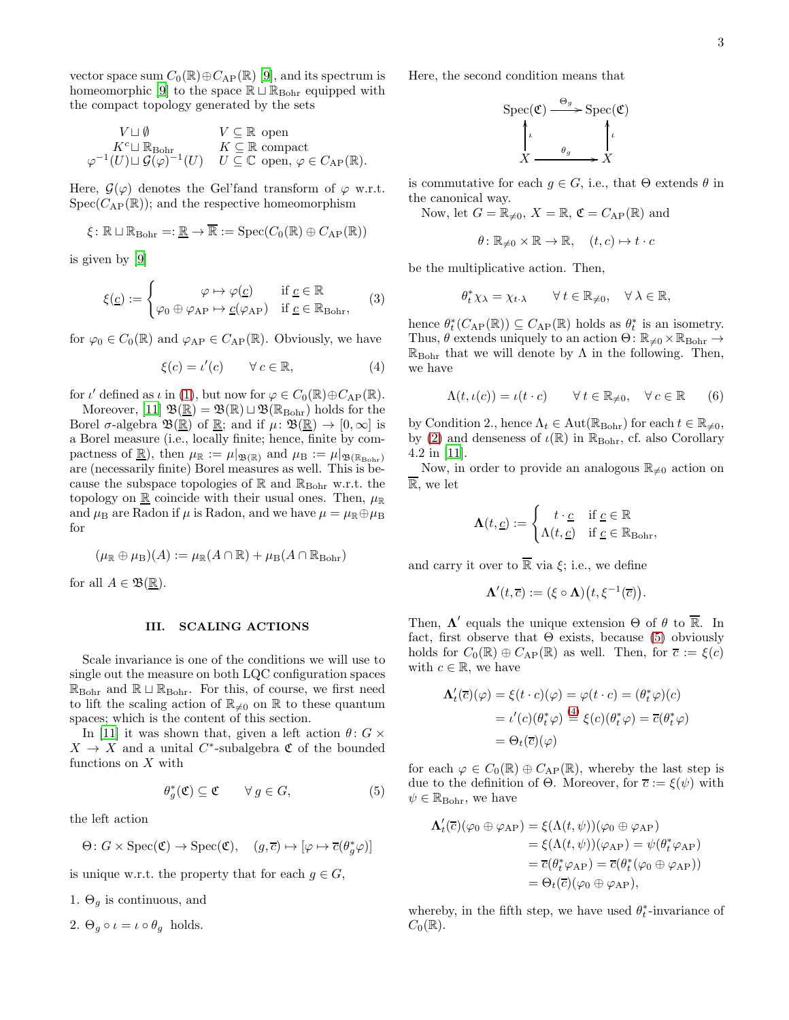vector space sum  $C_0(\mathbb{R}) \oplus C_{AP}(\mathbb{R})$  [\[9\]](#page-5-6), and its spectrum is homeomorphic [\[9\]](#page-5-6) to the space  $\mathbb{R} \sqcup \mathbb{R}_{\text{Bohr}}$  equipped with the compact topology generated by the sets

$$
V \sqcup \emptyset \qquad V \subseteq \mathbb{R} \text{ open} K^c \sqcup \mathbb{R}_{\text{Bohr}} \qquad K \subseteq \mathbb{R} \text{ compact} \varphi^{-1}(U) \sqcup \mathcal{G}(\varphi)^{-1}(U) \qquad U \subseteq \mathbb{C} \text{ open}, \varphi \in C_{\text{AP}}(\mathbb{R}).
$$

Here,  $\mathcal{G}(\varphi)$  denotes the Gel'fand transform of  $\varphi$  w.r.t.  $Spec(C_{AP}(\mathbb{R}))$ ; and the respective homeomorphism

$$
\xi \colon \mathbb{R} \sqcup \mathbb{R}_{\text{Bohr}} =: \underline{\mathbb{R}} \to \overline{\mathbb{R}} := \text{Spec}(C_0(\mathbb{R}) \oplus C_{\text{AP}}(\mathbb{R}))
$$

is given by [\[9\]](#page-5-6)

<span id="page-2-2"></span>
$$
\xi(\underline{c}) := \begin{cases}\n\varphi \mapsto \varphi(\underline{c}) & \text{if } \underline{c} \in \mathbb{R} \\
\varphi_0 \oplus \varphi_{AP} \mapsto \underline{c}(\varphi_{AP}) & \text{if } \underline{c} \in \mathbb{R}_{Bohr},\n\end{cases}
$$
(3)

for  $\varphi_0 \in C_0(\mathbb{R})$  and  $\varphi_{AP} \in C_{AP}(\mathbb{R})$ . Obviously, we have

$$
\xi(c) = \iota'(c) \qquad \forall \, c \in \mathbb{R}, \tag{4}
$$

for  $\iota'$  defined as  $\iota$  in [\(1\)](#page-1-0), but now for  $\varphi \in C_0(\mathbb{R}) \oplus C_{AP}(\mathbb{R})$ .

Moreover, [\[11](#page-6-4)]  $\mathfrak{B}(\mathbb{R}) = \mathfrak{B}(\mathbb{R}) \sqcup \mathfrak{B}(\mathbb{R}_{\text{Bohr}})$  holds for the Borel  $\sigma$ -algebra  $\mathfrak{B}(\mathbb{R})$  of  $\mathbb{R}$ ; and if  $\mu: \mathfrak{B}(\mathbb{R}) \to [0, \infty]$  is a Borel measure (i.e., locally finite; hence, finite by compactness of <u>R</u>), then  $\mu_{\mathbb{R}} := \mu|_{\mathfrak{B}(\mathbb{R})}$  and  $\mu_{\mathbb{B}} := \mu|_{\mathfrak{B}(\mathbb{R}_{\text{Bohr}})}$ are (necessarily finite) Borel measures as well. This is because the subspace topologies of  $\mathbb R$  and  $\mathbb R_{\rm Bohr}$  w.r.t. the topology on  $\mathbb R$  coincide with their usual ones. Then,  $\mu_{\mathbb R}$ and  $\mu_B$  are Radon if  $\mu$  is Radon, and we have  $\mu = \mu_R \oplus \mu_B$ for

$$
(\mu_{\mathbb{R}} \oplus \mu_{\mathcal{B}})(A) := \mu_{\mathbb{R}}(A \cap \mathbb{R}) + \mu_{\mathcal{B}}(A \cap \mathbb{R}_{\text{Bohr}})
$$

for all  $A \in \mathfrak{B}(\underline{\mathbb{R}})$ .

#### III. SCALING ACTIONS

Scale invariance is one of the conditions we will use to single out the measure on both LQC configuration spaces  $\mathbb{R}_{\text{Bohr}}$  and  $\mathbb{R} \sqcup \mathbb{R}_{\text{Bohr}}$ . For this, of course, we first need to lift the scaling action of  $\mathbb{R}_{\neq 0}$  on  $\mathbb R$  to these quantum spaces; which is the content of this section.

In [\[11\]](#page-6-4) it was shown that, given a left action  $\theta$ :  $G \times$  $X \to X$  and a unital C<sup>\*</sup>-subalgebra  $\mathfrak C$  of the bounded functions on  $X$  with

$$
\theta_g^*(\mathfrak{C}) \subseteq \mathfrak{C} \qquad \forall \, g \in G,\tag{5}
$$

the left action

$$
\Theta \colon G \times \text{Spec}(\mathfrak{C}) \to \text{Spec}(\mathfrak{C}), \quad (g, \overline{c}) \mapsto [\varphi \mapsto \overline{c}(\theta_g^* \varphi)]
$$

is unique w.r.t. the property that for each  $q \in G$ ,

1.  $\Theta_q$  is continuous, and

2. 
$$
\Theta_g \circ \iota = \iota \circ \theta_g
$$
 holds.

Here, the second condition means that

$$
\operatorname{Spec}(\mathfrak{C}) \xrightarrow{\Theta_g} \operatorname{Spec}(\mathfrak{C})
$$
\n
$$
\downarrow \qquad \qquad \downarrow \qquad \downarrow
$$
\n
$$
X \xrightarrow{\theta_g} X
$$

is commutative for each  $g \in G$ , i.e., that  $\Theta$  extends  $\theta$  in the canonical way.

Now, let  $G = \mathbb{R}_{\neq 0}$ ,  $X = \mathbb{R}$ ,  $\mathfrak{C} = C_{AP}(\mathbb{R})$  and

$$
\theta \colon \mathbb{R}_{\neq 0} \times \mathbb{R} \to \mathbb{R}, \quad (t, c) \mapsto t \cdot c
$$

be the multiplicative action. Then,

$$
\theta_t^* \chi_\lambda = \chi_{t \cdot \lambda} \qquad \forall \, t \in \mathbb{R}_{\neq 0}, \quad \forall \, \lambda \in \mathbb{R},
$$

<span id="page-2-1"></span>hence  $\theta_t^*(C_{AP}(\mathbb{R})) \subseteq C_{AP}(\mathbb{R})$  holds as  $\theta_t^*$  is an isometry. Thus,  $\theta$  extends uniquely to an action  $\Theta: \mathbb{R}_{\neq 0} \times \mathbb{R}_{\text{Bohr}} \to$  $\mathbb{R}_{\text{Bohr}}$  that we will denote by  $\Lambda$  in the following. Then, we have

$$
\Lambda(t, \iota(c)) = \iota(t \cdot c) \qquad \forall \, t \in \mathbb{R}_{\neq 0}, \quad \forall \, c \in \mathbb{R} \tag{6}
$$

by Condition 2., hence  $\Lambda_t \in \text{Aut}(\mathbb{R}_{\text{Bohr}})$  for each  $t \in \mathbb{R}_{\neq 0}$ , by [\(2\)](#page-1-1) and denseness of  $\iota(\mathbb{R})$  in  $\mathbb{R}_{\text{Bohr}}$ , cf. also Corollary 4.2 in [\[11](#page-6-4)].

Now, in order to provide an analogous  $\mathbb{R}_{\neq 0}$  action on R, we let

$$
\mathbf{\Lambda}(t, \underline{c}) := \begin{cases} t \cdot \underline{c} & \text{if } \underline{c} \in \mathbb{R} \\ \Lambda(t, \underline{c}) & \text{if } \underline{c} \in \mathbb{R}_{\text{Bohr}}, \end{cases}
$$

and carry it over to  $\overline{\mathbb{R}}$  via  $\xi$ ; i.e., we define

$$
\Lambda'(t,\overline{c}):=(\xi\circ\Lambda)\big(t,\xi^{-1}(\overline{c})\big).
$$

Then,  $\Lambda'$  equals the unique extension  $\Theta$  of  $\theta$  to  $\overline{\mathbb{R}}$ . In fact, first observe that  $\Theta$  exists, because [\(5\)](#page-2-0) obviously holds for  $C_0(\mathbb{R}) \oplus C_{AP}(\mathbb{R})$  as well. Then, for  $\overline{c} := \xi(c)$ with  $c \in \mathbb{R}$ , we have

$$
\Lambda'_t(\overline{c})(\varphi) = \xi(t \cdot c)(\varphi) = \varphi(t \cdot c) = (\theta_t^* \varphi)(c)
$$

$$
= \iota'(c)(\theta_t^* \varphi) \stackrel{(4)}{=} \xi(c)(\theta_t^* \varphi) = \overline{c}(\theta_t^* \varphi)
$$

$$
= \Theta_t(\overline{c})(\varphi)
$$

<span id="page-2-0"></span>for each  $\varphi \in C_0(\mathbb{R}) \oplus C_{AP}(\mathbb{R})$ , whereby the last step is due to the definition of  $\Theta$ . Moreover, for  $\overline{c} := \xi(\psi)$  with  $\psi \in \mathbb{R}_{\text{Bohr}}$ , we have

$$
\Lambda'_t(\overline{c})(\varphi_0 \oplus \varphi_{AP}) = \xi(\Lambda(t,\psi))(\varphi_0 \oplus \varphi_{AP})
$$
  
\n
$$
= \xi(\Lambda(t,\psi))(\varphi_{AP}) = \psi(\theta_t^*\varphi_{AP})
$$
  
\n
$$
= \overline{c}(\theta_t^*\varphi_{AP}) = \overline{c}(\theta_t^*(\varphi_0 \oplus \varphi_{AP}))
$$
  
\n
$$
= \Theta_t(\overline{c})(\varphi_0 \oplus \varphi_{AP}),
$$

whereby, in the fifth step, we have used  $\theta_t^*$ -invariance of  $C_0(\mathbb{R})$ .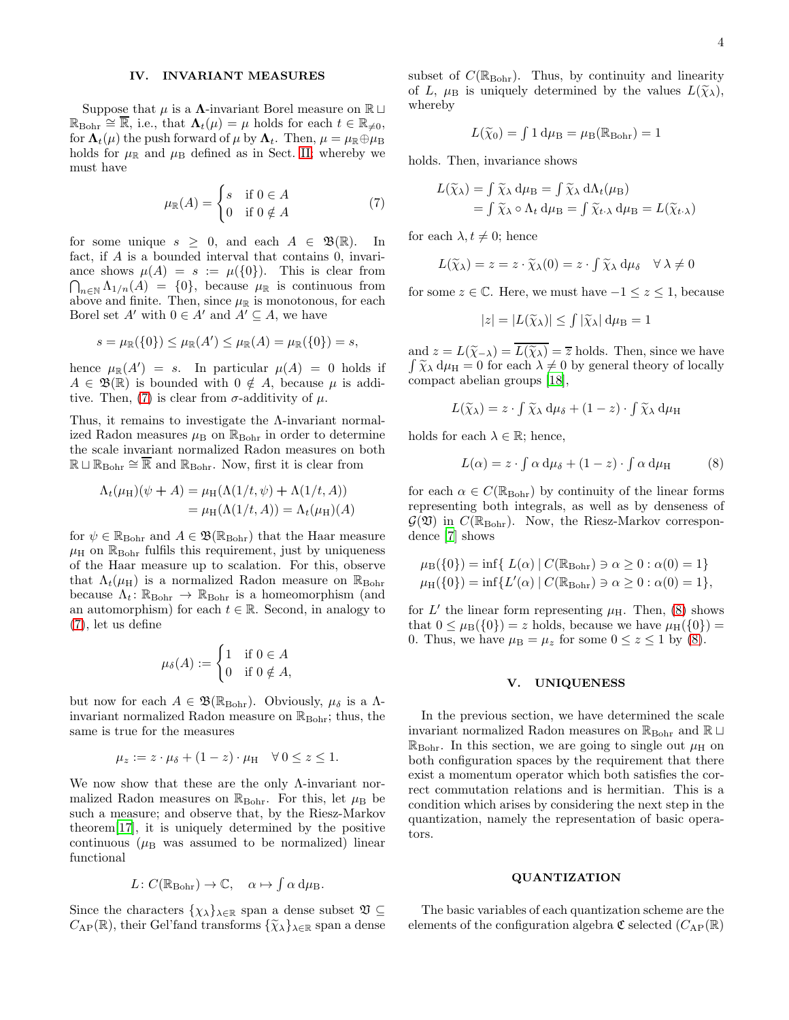## <span id="page-3-2"></span>IV. INVARIANT MEASURES

Suppose that  $\mu$  is a  $\Lambda$ -invariant Borel measure on R ⊔  $\mathbb{R}_{\text{Bohr}} \cong \overline{\mathbb{R}}$ , i.e., that  $\Lambda_t(\mu) = \mu$  holds for each  $t \in \mathbb{R}_{\neq 0}$ , for  $\Lambda_t(\mu)$  the push forward of  $\mu$  by  $\Lambda_t$ . Then,  $\mu = \mu_{\mathbb{R}} \oplus \mu_{\mathbb{B}}$ holds for  $\mu_{\mathbb{R}}$  and  $\mu_{\mathbb{B}}$  defined as in Sect. [II;](#page-1-2) whereby we must have

<span id="page-3-0"></span>
$$
\mu_{\mathbb{R}}(A) = \begin{cases} s & \text{if } 0 \in A \\ 0 & \text{if } 0 \notin A \end{cases}
$$
 (7)

for some unique  $s \geq 0$ , and each  $A \in \mathfrak{B}(\mathbb{R})$ . In fact, if A is a bounded interval that contains 0, invari- $\bigcap_{n\in\mathbb{N}}\Lambda_{1/n}(A) = \{0\}$ , because  $\mu_{\mathbb{R}}$  is continuous from ance shows  $\mu(A) = s := \mu(\{0\})$ . This is clear from above and finite. Then, since  $\mu_{\mathbb{R}}$  is monotonous, for each Borel set A' with  $0 \in A'$  and  $A' \subseteq A$ , we have

$$
s=\mu_{\mathbb R}(\{0\})\leq \mu_{\mathbb R}(A')\leq \mu_{\mathbb R}(A)=\mu_{\mathbb R}(\{0\})=s,
$$

hence  $\mu_{\mathbb{R}}(A') = s$ . In particular  $\mu(A) = 0$  holds if  $A \in \mathfrak{B}(\mathbb{R})$  is bounded with  $0 \notin A$ , because  $\mu$  is addi-tive. Then, [\(7\)](#page-3-0) is clear from  $\sigma$ -additivity of  $\mu$ .

Thus, it remains to investigate the Λ-invariant normalized Radon measures  $\mu_{\rm B}$  on  $\mathbb{R}_{\rm Bohr}$  in order to determine the scale invariant normalized Radon measures on both  $\mathbb{R} \sqcup \mathbb{R}_{\text{Bohr}} \cong \overline{\mathbb{R}}$  and  $\mathbb{R}_{\text{Bohr}}$ . Now, first it is clear from

$$
\Lambda_t(\mu_H)(\psi + A) = \mu_H(\Lambda(1/t, \psi) + \Lambda(1/t, A)) \n= \mu_H(\Lambda(1/t, A)) = \Lambda_t(\mu_H)(A)
$$

for  $\psi \in \mathbb{R}_{\text{Bohr}}$  and  $A \in \mathfrak{B}(\mathbb{R}_{\text{Bohr}})$  that the Haar measure  $\mu$ H on  $\mathbb{R}_{\text{Bohr}}$  fulfils this requirement, just by uniqueness of the Haar measure up to scalation. For this, observe that  $\Lambda_t(\mu_H)$  is a normalized Radon measure on  $\mathbb{R}_{\text{Bohr}}$ because  $\Lambda_t: \mathbb{R}_{\text{Bohr}} \to \mathbb{R}_{\text{Bohr}}$  is a homeomorphism (and an automorphism) for each  $t \in \mathbb{R}$ . Second, in analogy to [\(7\)](#page-3-0), let us define

$$
\mu_{\delta}(A) := \begin{cases} 1 & \text{if } 0 \in A \\ 0 & \text{if } 0 \notin A, \end{cases}
$$

but now for each  $A \in \mathfrak{B}(\mathbb{R}_{\text{Bohr}})$ . Obviously,  $\mu_{\delta}$  is a  $\Lambda$ invariant normalized Radon measure on  $\mathbb{R}_{\text{Bohr}}$ ; thus, the same is true for the measures

$$
\mu_z := z \cdot \mu_\delta + (1 - z) \cdot \mu_H \quad \forall \ 0 \le z \le 1.
$$

We now show that these are the only Λ-invariant normalized Radon measures on  $\mathbb{R}_{\text{Bohr}}$ . For this, let  $\mu_{\text{B}}$  be such a measure; and observe that, by the Riesz-Markov theorem[\[17](#page-6-5)], it is uniquely determined by the positive continuous ( $\mu$ B was assumed to be normalized) linear functional

$$
L\colon C(\mathbb{R}_{\text{Bohr}})\to \mathbb{C}, \quad \alpha\mapsto \int \alpha \,d\mu_{\text{B}}.
$$

Since the characters  $\{\chi_{\lambda}\}_{\lambda \in \mathbb{R}}$  span a dense subset  $\mathfrak{V} \subseteq$  $C_{AP}(\mathbb{R})$ , their Gel'fand transforms  $\{\widetilde{\chi}_{\lambda}\}_{\lambda\in\mathbb{R}}$  span a dense subset of  $C(\mathbb{R}_{\text{Bohr}})$ . Thus, by continuity and linearity of L,  $\mu_B$  is uniquely determined by the values  $L(\widetilde{\chi}_{\lambda}),$ whereby

$$
L(\widetilde{\chi}_0) = \int 1 \, \mathrm{d}\mu_\mathrm{B} = \mu_\mathrm{B}(\mathbb{R}_{\text{Bohr}}) = 1
$$

holds. Then, invariance shows

$$
L(\widetilde{\chi}_{\lambda}) = \int \widetilde{\chi}_{\lambda} d\mu_{\text{B}} = \int \widetilde{\chi}_{\lambda} d\Lambda_t(\mu_{\text{B}})
$$
  
= 
$$
\int \widetilde{\chi}_{\lambda} \circ \Lambda_t d\mu_{\text{B}} = \int \widetilde{\chi}_{t \cdot \lambda} d\mu_{\text{B}} = L(\widetilde{\chi}_{t \cdot \lambda})
$$

for each  $\lambda, t \neq 0$ ; hence

$$
L(\widetilde{\chi}_{\lambda}) = z = z \cdot \widetilde{\chi}_{\lambda}(0) = z \cdot \int \widetilde{\chi}_{\lambda} d\mu_{\delta} \quad \forall \lambda \neq 0
$$

for some  $z \in \mathbb{C}$ . Here, we must have  $-1 \leq z \leq 1$ , because

$$
|z| = |L(\widetilde{\chi}_{\lambda})| \le \int |\widetilde{\chi}_{\lambda}| \, \mathrm{d}\mu_{\mathrm{B}} = 1
$$

and  $z = L(\widetilde{\chi}_{-\lambda}) = L(\widetilde{\chi}_{\lambda}) = \overline{z}$  holds. Then, since we have  $\int \widetilde{\chi}_{\lambda} d\mu_{\rm H} = 0$  for each  $\lambda \neq 0$  by general theory of locally compact abelian groups [\[18](#page-6-6)],

$$
L(\widetilde{\chi}_{\lambda}) = z \cdot \int \widetilde{\chi}_{\lambda} d\mu_{\delta} + (1 - z) \cdot \int \widetilde{\chi}_{\lambda} d\mu_{\rm H}
$$

holds for each  $\lambda \in \mathbb{R}$ ; hence,

<span id="page-3-1"></span>
$$
L(\alpha) = z \cdot \int \alpha \, d\mu_{\delta} + (1 - z) \cdot \int \alpha \, d\mu_{\rm H} \tag{8}
$$

for each  $\alpha \in C(\mathbb{R}_{\text{Bohr}})$  by continuity of the linear forms representing both integrals, as well as by denseness of  $\mathcal{G}(\mathfrak{V})$  in  $C(\mathbb{R}_{\text{Bohr}})$ . Now, the Riesz-Markov correspondence [\[7](#page-5-8)] shows

$$
\mu_{\text{B}}(\{0\}) = \inf \{ L(\alpha) \mid C(\mathbb{R}_{\text{Bohr}}) \ni \alpha \ge 0 : \alpha(0) = 1 \}
$$
  

$$
\mu_{\text{H}}(\{0\}) = \inf \{ L'(\alpha) \mid C(\mathbb{R}_{\text{Bohr}}) \ni \alpha \ge 0 : \alpha(0) = 1 \},
$$

for  $L'$  the linear form representing  $\mu_{\rm H}$ . Then, [\(8\)](#page-3-1) shows that  $0 \leq \mu_B({0}) = z$  holds, because we have  $\mu_H({0}) =$ 0. Thus, we have  $\mu_{\text{B}} = \mu_z$  for some  $0 \le z \le 1$  by [\(8\)](#page-3-1).

#### V. UNIQUENESS

In the previous section, we have determined the scale invariant normalized Radon measures on  $\mathbb{R}_{\text{Bohr}}$  and  $\mathbb{R}$  ⊔  $\mathbb{R}_{\text{Bohr}}$ . In this section, we are going to single out  $\mu_{\text{H}}$  on both configuration spaces by the requirement that there exist a momentum operator which both satisfies the correct commutation relations and is hermitian. This is a condition which arises by considering the next step in the quantization, namely the representation of basic operators.

# QUANTIZATION

The basic variables of each quantization scheme are the elements of the configuration algebra  $\mathfrak{C}$  selected  $(C_{AP}(\mathbb{R}))$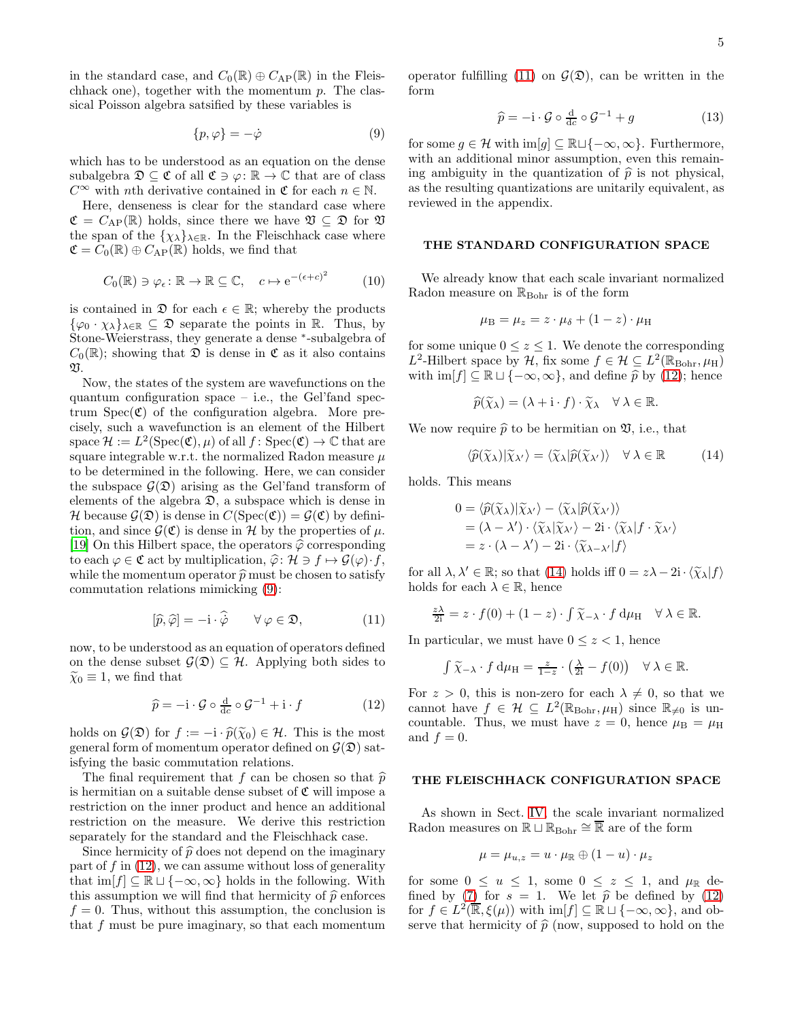in the standard case, and  $C_0(\mathbb{R}) \oplus C_{AP}(\mathbb{R})$  in the Fleischhack one), together with the momentum  $p$ . The classical Poisson algebra satsified by these variables is

$$
\{p,\varphi\} = -\dot{\varphi} \tag{9}
$$

which has to be understood as an equation on the dense subalgebra  $\mathfrak{D} \subseteq \mathfrak{C}$  of all  $\mathfrak{C} \ni \varphi : \mathbb{R} \to \mathbb{C}$  that are of class  $C^{\infty}$  with nth derivative contained in  $\mathfrak{C}$  for each  $n \in \mathbb{N}$ .

Here, denseness is clear for the standard case where  $\mathfrak{C} = C_{AP}(\mathbb{R})$  holds, since there we have  $\mathfrak{V} \subseteq \mathfrak{D}$  for  $\mathfrak{V}$ the span of the  $\{\chi_{\lambda}\}_{\lambda \in \mathbb{R}}$ . In the Fleischhack case where  $\mathfrak{C} = C_0(\mathbb{R}) \oplus C_{AP}(\mathbb{R})$  holds, we find that

$$
C_0(\mathbb{R}) \ni \varphi_{\epsilon} \colon \mathbb{R} \to \mathbb{R} \subseteq \mathbb{C}, \quad c \mapsto e^{-(\epsilon+c)^2} \tag{10}
$$

is contained in  $\mathfrak{D}$  for each  $\epsilon \in \mathbb{R}$ ; whereby the products  $\{\varphi_0 \cdot \chi_{\lambda}\}_{\lambda \in \mathbb{R}} \subseteq \mathfrak{D}$  separate the points in R. Thus, by Stone-Weierstrass, they generate a dense <sup>∗</sup> -subalgebra of  $C_0(\mathbb{R})$ ; showing that  $\mathfrak D$  is dense in  $\mathfrak C$  as it also contains  $\mathfrak{m}$ 

Now, the states of the system are wavefunctions on the quantum configuration space – i.e., the Gel'fand spectrum  $Spec(\mathfrak{C})$  of the configuration algebra. More precisely, such a wavefunction is an element of the Hilbert space  $\mathcal{H} := L^2(\text{Spec}(\mathfrak{C}), \mu)$  of all  $f: \text{Spec}(\mathfrak{C}) \to \mathbb{C}$  that are square integrable w.r.t. the normalized Radon measure  $\mu$ to be determined in the following. Here, we can consider the subspace  $\mathcal{G}(\mathfrak{D})$  arising as the Gel'fand transform of elements of the algebra  $\mathfrak{D}$ , a subspace which is dense in H because  $\mathcal{G}(\mathfrak{D})$  is dense in  $C(\mathrm{Spec}(\mathfrak{C})) = \mathcal{G}(\mathfrak{C})$  by definition, and since  $\mathcal{G}(\mathfrak{C})$  is dense in H by the properties of  $\mu$ . [\[19\]](#page-6-7) On this Hilbert space, the operators  $\hat{\varphi}$  corresponding to each  $\varphi \in \mathfrak{C}$  act by multiplication,  $\widehat{\varphi} : \mathcal{H} \ni f \mapsto \mathcal{G}(\varphi) \cdot f$ , while the momentum operator  $\hat{p}$  must be chosen to satisfy commutation relations mimicking [\(9\)](#page-4-0):

$$
[\hat{p}, \hat{\varphi}] = -\mathbf{i} \cdot \hat{\boldsymbol{\varphi}} \qquad \forall \, \varphi \in \mathfrak{D},\tag{11}
$$

now, to be understood as an equation of operators defined on the dense subset  $\mathcal{G}(\mathfrak{D}) \subseteq \mathcal{H}$ . Applying both sides to  $\widetilde{\chi}_0 \equiv 1$ , we find that

$$
\widehat{p} = -\mathbf{i} \cdot \mathcal{G} \circ \frac{\mathbf{d}}{\mathbf{d}c} \circ \mathcal{G}^{-1} + \mathbf{i} \cdot f \tag{12}
$$

holds on  $\mathcal{G}(\mathfrak{D})$  for  $f := -i \cdot \widehat{p}(\widetilde{\chi}_0) \in \mathcal{H}$ . This is the most general form of momentum operator defined on  $\mathcal{G}(\mathfrak{D})$  satisfying the basic commutation relations.

The final requirement that f can be chosen so that  $\hat{p}$ is hermitian on a suitable dense subset of  $\mathfrak C$  will impose a restriction on the inner product and hence an additional restriction on the measure. We derive this restriction separately for the standard and the Fleischhack case.

Since hermicity of  $\hat{p}$  does not depend on the imaginary part of f in  $(12)$ , we can assume without loss of generality that  $\text{im}[f] \subseteq \mathbb{R} \sqcup \{-\infty, \infty\}$  holds in the following. With this assumption we will find that hermicity of  $\hat{p}$  enforces  $f = 0$ . Thus, without this assumption, the conclusion is that f must be pure imaginary, so that each momentum operator fulfilling [\(11\)](#page-4-2) on  $\mathcal{G}(\mathfrak{D})$ , can be written in the form

<span id="page-4-5"></span>
$$
\widehat{p} = -\mathbf{i} \cdot \mathcal{G} \circ \frac{\mathbf{d}}{\mathbf{d}c} \circ \mathcal{G}^{-1} + g \tag{13}
$$

<span id="page-4-0"></span>for some  $g \in \mathcal{H}$  with  $\text{im}[g] \subseteq \mathbb{R} \sqcup \{-\infty, \infty\}$ . Furthermore, with an additional minor assumption, even this remaining ambiguity in the quantization of  $\hat{p}$  is not physical, as the resulting quantizations are unitarily equivalent, as reviewed in the appendix.

# THE STANDARD CONFIGURATION SPACE

<span id="page-4-4"></span>We already know that each scale invariant normalized Radon measure on  $\mathbb{R}_{Bohr}$  is of the form

$$
\mu_{\rm B} = \mu_z = z \cdot \mu_{\delta} + (1 - z) \cdot \mu_{\rm H}
$$

for some unique  $0 \leq z \leq 1$ . We denote the corresponding L<sup>2</sup>-Hilbert space by  $H$ , fix some  $f \in \mathcal{H} \subseteq L^2(\mathbb{R}_{\text{Bohr}}, \mu_H)$ with  $\text{im}[f] \subseteq \mathbb{R} \sqcup \{-\infty, \infty\}$ , and define  $\hat{p}$  by [\(12\)](#page-4-1); hence

$$
\widehat{p}(\widetilde{\chi}_{\lambda}) = (\lambda + \mathrm{i} \cdot f) \cdot \widetilde{\chi}_{\lambda} \quad \forall \lambda \in \mathbb{R}.
$$

We now require  $\hat{p}$  to be hermitian on  $\mathfrak{V}$ , i.e., that

<span id="page-4-3"></span>
$$
\langle \widehat{p}(\widetilde{\chi}_{\lambda}) | \widetilde{\chi}_{\lambda'} \rangle = \langle \widetilde{\chi}_{\lambda} | \widehat{p}(\widetilde{\chi}_{\lambda'}) \rangle \quad \forall \ \lambda \in \mathbb{R} \tag{14}
$$

holds. This means

$$
0 = \langle \widehat{p}(\widetilde{\chi}_{\lambda}) | \widetilde{\chi}_{\lambda'} \rangle - \langle \widetilde{\chi}_{\lambda} | \widehat{p}(\widetilde{\chi}_{\lambda'}) \rangle = (\lambda - \lambda') \cdot \langle \widetilde{\chi}_{\lambda} | \widetilde{\chi}_{\lambda'} \rangle - 2i \cdot \langle \widetilde{\chi}_{\lambda} | f \cdot \widetilde{\chi}_{\lambda'} \rangle = z \cdot (\lambda - \lambda') - 2i \cdot \langle \widetilde{\chi}_{\lambda - \lambda'} | f \rangle
$$

for all  $\lambda, \lambda' \in \mathbb{R}$ ; so that [\(14\)](#page-4-3) holds iff  $0 = z\lambda - 2i \cdot \langle \widetilde{\chi}_{\lambda} | f \rangle$ holds for each  $\lambda \in \mathbb{R}$ , hence

$$
\frac{z\lambda}{2i} = z \cdot f(0) + (1 - z) \cdot \int \widetilde{\chi}_{-\lambda} \cdot f \, d\mu_H \quad \forall \lambda \in \mathbb{R}.
$$

<span id="page-4-2"></span>In particular, we must have  $0 \leq z < 1$ , hence

$$
\int \widetilde{\chi}_{-\lambda} \cdot f \, d\mu_H = \frac{z}{1-z} \cdot \left(\frac{\lambda}{2i} - f(0)\right) \quad \forall \lambda \in \mathbb{R}.
$$

<span id="page-4-1"></span>For  $z > 0$ , this is non-zero for each  $\lambda \neq 0$ , so that we cannot have  $f \in \mathcal{H} \subseteq L^2(\mathbb{R}_{\text{Bohr}}, \mu_H)$  since  $\mathbb{R}_{\neq 0}$  is uncountable. Thus, we must have  $z = 0$ , hence  $\mu<sub>B</sub> = \mu<sub>H</sub>$ and  $f = 0$ .

# THE FLEISCHHACK CONFIGURATION SPACE

As shown in Sect. [IV,](#page-3-2) the scale invariant normalized Radon measures on  $\mathbb{R} \sqcup \mathbb{R}_{Bohr} \cong \overline{\mathbb{R}}$  are of the form

$$
\mu = \mu_{u,z} = u \cdot \mu_\mathbb{R} \oplus (1-u) \cdot \mu_z
$$

for some  $0 \le u \le 1$ , some  $0 \le z \le 1$ , and  $\mu_{\mathbb{R}}$  de-fined by [\(7\)](#page-3-0) for  $s = 1$ . We let  $\hat{p}$  be defined by [\(12\)](#page-4-1) for  $f \in L^2(\mathbb{R}, \xi(\mu))$  with  $\text{im}[f] \subseteq \mathbb{R} \sqcup \{-\infty, \infty\}$ , and observe that hermicity of  $\hat{p}$  (now, supposed to hold on the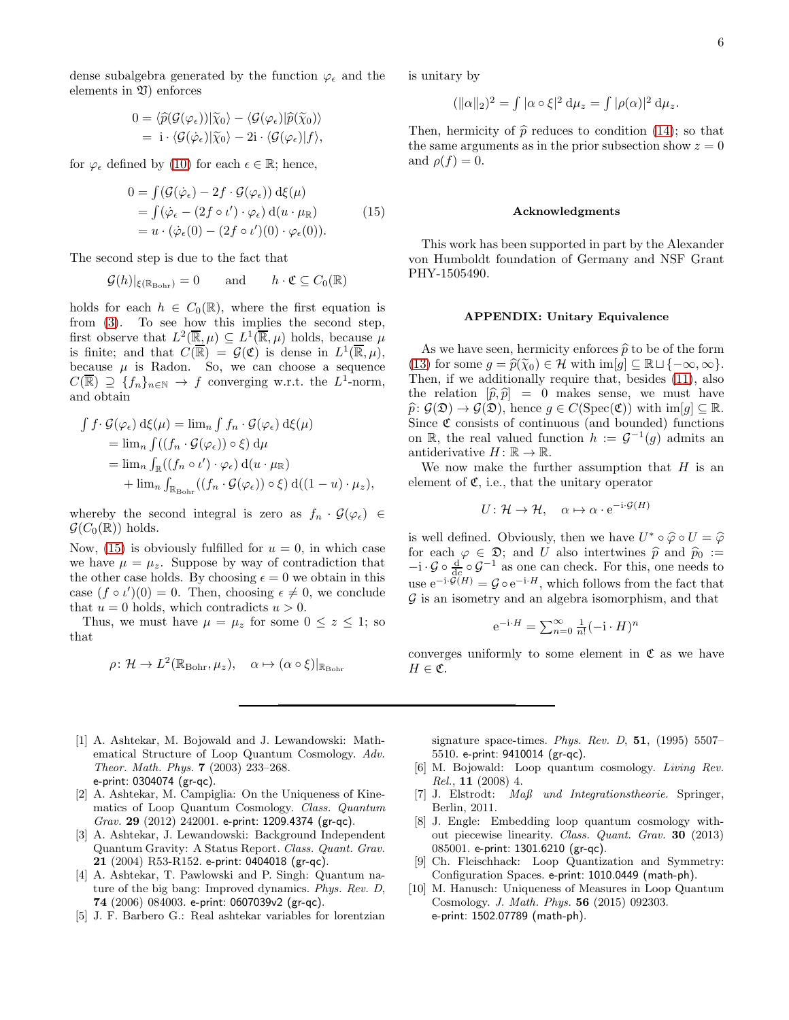dense subalgebra generated by the function  $\varphi_{\epsilon}$  and the elements in  $\mathfrak V$ ) enforces

$$
0 = \langle \widehat{p}(\mathcal{G}(\varphi_{\epsilon})) | \widetilde{\chi}_0 \rangle - \langle \mathcal{G}(\varphi_{\epsilon}) | \widehat{p}(\widetilde{\chi}_0) \rangle = \mathrm{i} \cdot \langle \mathcal{G}(\varphi_{\epsilon}) | \widetilde{\chi}_0 \rangle - 2\mathrm{i} \cdot \langle \mathcal{G}(\varphi_{\epsilon}) | f \rangle,
$$

for  $\varphi_{\epsilon}$  defined by [\(10\)](#page-4-4) for each  $\epsilon \in \mathbb{R}$ ; hence,

$$
0 = \int (\mathcal{G}(\dot{\varphi}_{\epsilon}) - 2f \cdot \mathcal{G}(\varphi_{\epsilon})) d\xi(\mu)
$$
  
= 
$$
\int (\dot{\varphi}_{\epsilon} - (2f \circ \iota') \cdot \varphi_{\epsilon}) d(u \cdot \mu_{\mathbb{R}})
$$
  
= 
$$
u \cdot (\dot{\varphi}_{\epsilon}(0) - (2f \circ \iota')(0) \cdot \varphi_{\epsilon}(0)).
$$
 (15)

The second step is due to the fact that

$$
\mathcal{G}(h)|_{\xi(\mathbb{R}_{\text{Bohr}})} = 0 \quad \text{and} \quad h \cdot \mathfrak{C} \subseteq C_0(\mathbb{R})
$$

holds for each  $h \in C_0(\mathbb{R})$ , where the first equation is from [\(3\)](#page-2-2). To see how this implies the second step, first observe that  $L^2(\overline{\mathbb{R}}, \mu) \subseteq L^1(\overline{\mathbb{R}}, \mu)$  holds, because  $\mu$ is finite; and that  $C(\overline{\mathbb{R}}) = \mathcal{G}(\mathfrak{C})$  is dense in  $L^1(\overline{\mathbb{R}}, \mu)$ , because  $\mu$  is Radon. So, we can choose a sequence  $C(\overline{\mathbb{R}}) \supseteq \{f_n\}_{n\in\mathbb{N}} \to f$  converging w.r.t. the  $L^1$ -norm, and obtain

$$
\int f \cdot \mathcal{G}(\varphi_{\epsilon}) d\xi(\mu) = \lim_{n} \int f_{n} \cdot \mathcal{G}(\varphi_{\epsilon}) d\xi(\mu)
$$
  
\n
$$
= \lim_{n} \int ((f_{n} \cdot \mathcal{G}(\varphi_{\epsilon})) \circ \xi) d\mu
$$
  
\n
$$
= \lim_{n} \int_{\mathbb{R}} ((f_{n} \circ \iota') \cdot \varphi_{\epsilon}) d(u \cdot \mu_{\mathbb{R}})
$$
  
\n
$$
+ \lim_{n} \int_{\mathbb{R}_{\text{Rohr}}} ((f_{n} \cdot \mathcal{G}(\varphi_{\epsilon})) \circ \xi) d((1 - u) \cdot \mu_{z}),
$$

whereby the second integral is zero as  $f_n \cdot \mathcal{G}(\varphi_\epsilon) \in$  $\mathcal{G}(C_0(\mathbb{R}))$  holds.

Now, [\(15\)](#page-5-9) is obviously fulfilled for  $u = 0$ , in which case we have  $\mu = \mu_z$ . Suppose by way of contradiction that the other case holds. By choosing  $\epsilon = 0$  we obtain in this case  $(f \circ \iota')(0) = 0$ . Then, choosing  $\epsilon \neq 0$ , we conclude that  $u = 0$  holds, which contradicts  $u > 0$ .

Thus, we must have  $\mu = \mu_z$  for some  $0 \leq z \leq 1$ ; so that

$$
\rho \colon \mathcal{H} \to L^2(\mathbb{R}_{\text{Bohr}}, \mu_z), \quad \alpha \mapsto (\alpha \circ \xi)|_{\mathbb{R}_{\text{Bohr}}}
$$

- <span id="page-5-1"></span>[1] A. Ashtekar, M. Bojowald and J. Lewandowski: Mathematical Structure of Loop Quantum Cosmology. Adv. Theor. Math. Phys. 7 (2003) 233–268. e-print: 0304074 (gr-qc).
- <span id="page-5-7"></span>[2] A. Ashtekar, M. Campiglia: On the Uniqueness of Kinematics of Loop Quantum Cosmology. Class. Quantum Grav. 29 (2012) 242001. e-print: 1209.4374 (gr-qc).
- <span id="page-5-0"></span>[3] A. Ashtekar, J. Lewandowski: Background Independent Quantum Gravity: A Status Report. Class. Quant. Grav. 21 (2004) R53-R152. e-print: 0404018 (gr-qc).
- <span id="page-5-2"></span>[4] A. Ashtekar, T. Pawlowski and P. Singh: Quantum nature of the big bang: Improved dynamics. Phys. Rev. D, 74 (2006) 084003. e-print: 0607039v2 (gr-qc).
- <span id="page-5-4"></span>[5] J. F. Barbero G.: Real ashtekar variables for lorentzian

is unitary by

$$
(\|\alpha\|_2)^2 = \int |\alpha \circ \xi|^2 \, \mathrm{d}\mu_z = \int |\rho(\alpha)|^2 \, \mathrm{d}\mu_z.
$$

Then, hermicity of  $\hat{p}$  reduces to condition [\(14\)](#page-4-3); so that the same arguments as in the prior subsection show  $z = 0$ and  $\rho(f) = 0$ .

# Acknowledgments

<span id="page-5-9"></span>This work has been supported in part by the Alexander von Humboldt foundation of Germany and NSF Grant PHY-1505490.

## APPENDIX: Unitary Equivalence

As we have seen, hermicity enforces  $\hat{p}$  to be of the form [\(13\)](#page-4-5) for some  $g = \widehat{p}(\widetilde{\chi}_0) \in \mathcal{H}$  with  $\text{im}[g] \subseteq \mathbb{R} \sqcup \{-\infty, \infty\}.$ Then, if we additionally require that, besides [\(11\)](#page-4-2), also the relation  $[\hat{p}, \hat{p}] = 0$  makes sense, we must have  $\widehat{p}$ :  $\mathcal{G}(\mathfrak{D}) \to \mathcal{G}(\mathfrak{D})$ , hence  $g \in C(\mathrm{Spec}(\mathfrak{C}))$  with  $\mathrm{im}[g] \subseteq \mathbb{R}$ . Since  $\mathfrak C$  consists of continuous (and bounded) functions on R, the real valued function  $h := \mathcal{G}^{-1}(g)$  admits an antiderivative  $H: \mathbb{R} \to \mathbb{R}$ .

We now make the further assumption that  $H$  is an element of  $\mathfrak{C}$ , i.e., that the unitary operator

$$
U: \mathcal{H} \to \mathcal{H}, \quad \alpha \mapsto \alpha \cdot e^{-i \cdot \mathcal{G}(H)}
$$

is well defined. Obviously, then we have  $U^* \circ \widehat{\varphi} \circ U = \widehat{\varphi}$ <br>for each  $\varphi \in \widehat{\mathcal{P}}$  and  $U$  also intertwines  $\widehat{\hat{\mathcal{P}}}$  and  $\widehat{\hat{\mathcal{P}}}$ . for each  $\varphi \in \mathfrak{D}$ ; and U also intertwines  $\hat{p}$  and  $\hat{p}_0 :=$ <br> $-i \cdot \mathcal{G} \circ \frac{d}{d\rho} \circ \mathcal{G}^{-1}$  as one can check. For this, one needs to use  $e^{-i \cdot \mathcal{G}(H)} = \mathcal{G} \circ e^{-i \cdot H}$ , which follows from the fact that  $\mathcal G$  is an isometry and an algebra isomorphism, and that

$$
e^{-i \cdot H} = \sum_{n=0}^{\infty} \frac{1}{n!} (-i \cdot H)^n
$$

converges uniformly to some element in  $\mathfrak C$  as we have  $H \in \mathfrak{C}$ .

signature space-times. Phys. Rev. D,  $51$ , (1995) 5507– 5510. e-print: 9410014 (gr-qc).

- <span id="page-5-3"></span>[6] M. Bojowald: Loop quantum cosmology. Living Rev. Rel., 11 (2008) 4.
- <span id="page-5-8"></span>[7] J. Elstrodt: Maß und Integrationstheorie. Springer, Berlin, 2011.
- <span id="page-5-5"></span>[8] J. Engle: Embedding loop quantum cosmology without piecewise linearity. Class. Quant. Grav. 30 (2013) 085001. e-print: 1301.6210 (gr-qc).
- <span id="page-5-6"></span>[9] Ch. Fleischhack: Loop Quantization and Symmetry: Configuration Spaces. e-print: 1010.0449 (math-ph).
- <span id="page-5-10"></span>[10] M. Hanusch: Uniqueness of Measures in Loop Quantum Cosmology. J. Math. Phys. 56 (2015) 092303. e-print: 1502.07789 (math-ph).